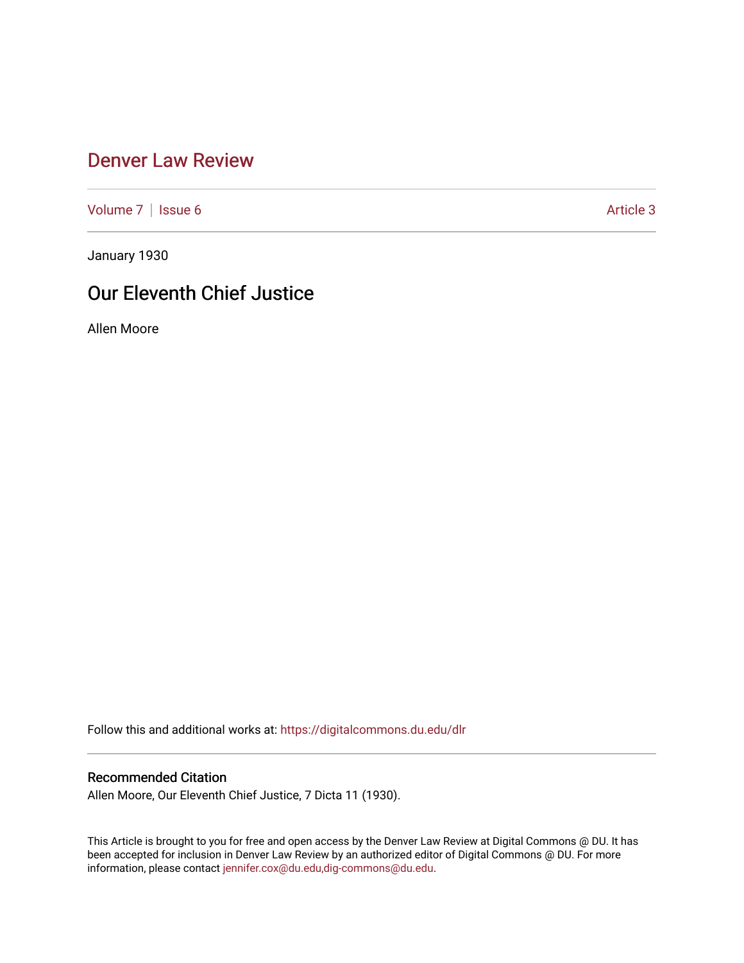## [Denver Law Review](https://digitalcommons.du.edu/dlr)

[Volume 7](https://digitalcommons.du.edu/dlr/vol7) | [Issue 6](https://digitalcommons.du.edu/dlr/vol7/iss6) Article 3

January 1930

# Our Eleventh Chief Justice

Allen Moore

Follow this and additional works at: [https://digitalcommons.du.edu/dlr](https://digitalcommons.du.edu/dlr?utm_source=digitalcommons.du.edu%2Fdlr%2Fvol7%2Fiss6%2F3&utm_medium=PDF&utm_campaign=PDFCoverPages) 

### Recommended Citation

Allen Moore, Our Eleventh Chief Justice, 7 Dicta 11 (1930).

This Article is brought to you for free and open access by the Denver Law Review at Digital Commons @ DU. It has been accepted for inclusion in Denver Law Review by an authorized editor of Digital Commons @ DU. For more information, please contact [jennifer.cox@du.edu,dig-commons@du.edu.](mailto:jennifer.cox@du.edu,dig-commons@du.edu)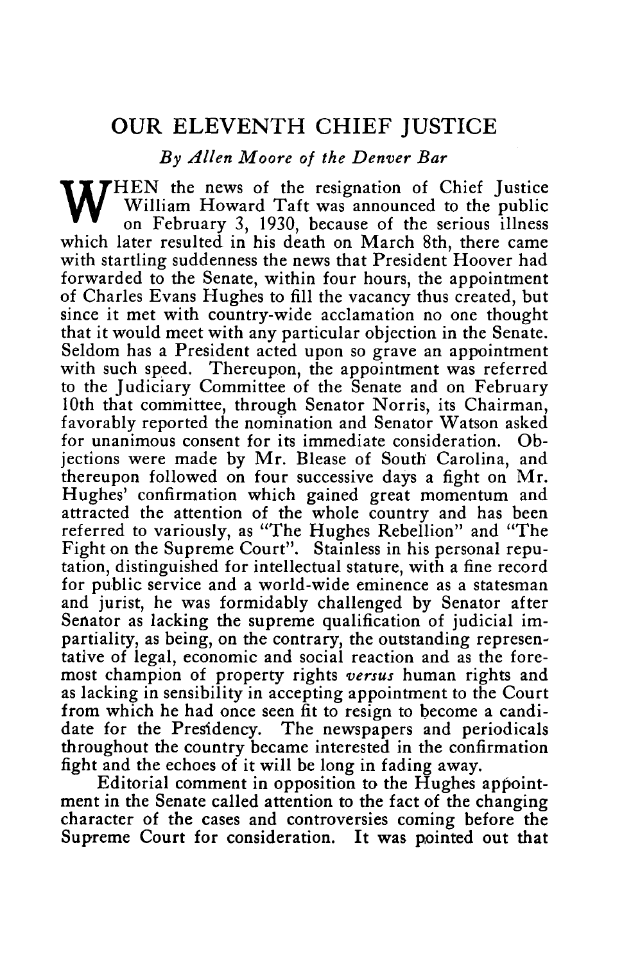### OUR **ELEVENTH** CHIEF **JUSTICE**

*By Allen Moore of the Denver Bar*

WHEN the news of the resignation of Chief Justice William Howard Taft was announced to the public on February 3, 1930, because of the serious illness which later resulted in his death on March 8th, there came with startling suddenness the news that President Hoover had forwarded to the Senate, within four hours, the appointment of Charles Evans Hughes to fill the vacancy thus created, but since it met with country-wide acclamation no one thought that it would meet with any particular objection in the Senate. Seldom has a President acted upon so grave an appointment with such speed. Thereupon, the appointment was referred to the Judiciary Committee of the Senate and on February 10th that committee, through Senator Norris, its Chairman, favorably reported the nomination and Senator Watson asked for unanimous consent for its immediate consideration. Objections were made by Mr. Blease of South Carolina, and thereupon followed on four successive days a fight on Mr. Hughes' confirmation which gained great momentum and attracted the attention of the whole country and has been referred to variously, as "The Hughes Rebellion" and "The Fight on the Supreme Court". Stainless in his personal reputation, distinguished for intellectual stature, with a fine record for public service and a world-wide eminence as a statesman and jurist, he was formidably challenged by Senator after Senator as lacking the supreme qualification of judicial impartiality, as being, on the contrary, the outstanding representative of legal, economic and social reaction and as the foremost champion of property rights *versus* human rights and as lacking in sensibility in accepting appointment to the Court from which he had once seen fit to resign to become a candidate for the Presidency. The newspapers and periodicals throughout the country became interested in the confirmation fight and the echoes of it will be long in fading away.

Editorial comment in opposition to the Hughes appointment in the Senate called attention to the fact of the changing character of the cases and controversies coming before the Supreme Court for consideration. It was pointed out that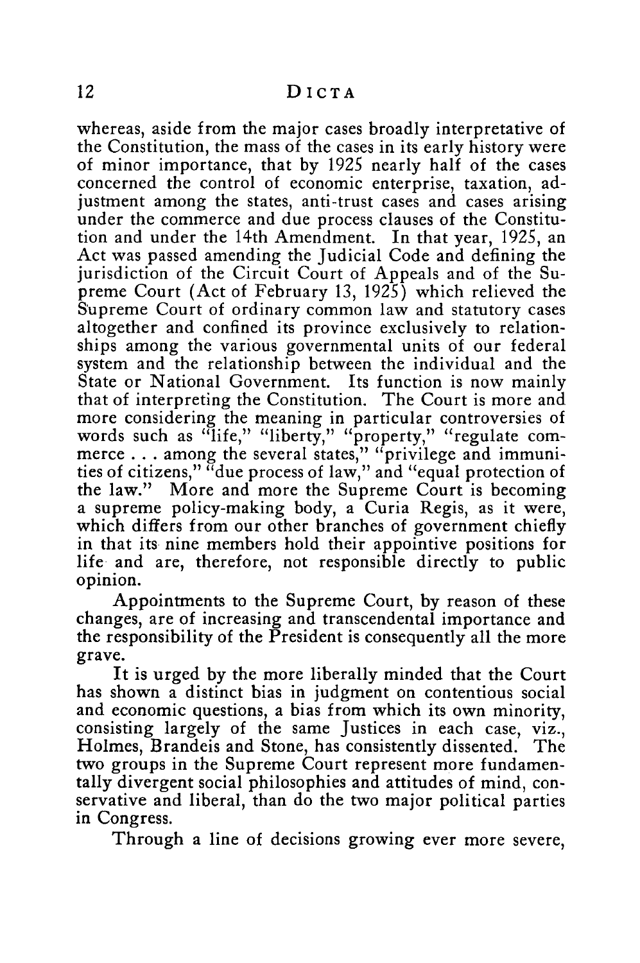whereas, aside from the major cases broadly interpretative of the Constitution, the mass of the cases in its early history were of minor importance, that **by 1925** nearly half of the cases concerned the control of economic enterprise, taxation, adjustment among the states, anti-trust cases and cases arising under the commerce and due process clauses of the Constitution and under the 14th Amendment. In that year, **1925,** an Act was passed amending the Judicial Code and defining the jurisdiction of the Circuit Court of Appeals and of the Supreme Court (Act of February **13, 1925)** which relieved the Supreme Court of ordinary common law and statutory cases altogether and confined its province exclusively to relationships among the various governmental units of our federal system and the relationship between the individual and the State or National Government. Its function is now mainly that of interpreting the Constitution. The Court is more and more considering the meaning in particular controversies of words such as "life," "liberty," "property," "regulate commerce **...** among the several states," "privilege and immunities of citizens," "due process of law," and "equal protection of the law." More and more the Supreme Court is becoming a supreme policy-making body, a Curia Regis, as it were, which differs from our other branches of government chiefly in that its nine members hold their appointive positions for life and are, therefore, not responsible directly to public opinion.

Appointments to the Supreme Court, **by** reason of these changes, are of increasing and transcendental importance and the responsibility of the President is consequently all the more grave.

It is urged **by** the more liberally minded that the Court has shown a distinct bias in judgment on contentious social and economic questions, a bias from which its own minority, consisting largely of the same Justices in each case, viz., Holmes, Brandeis and Stone, has consistently dissented. The two groups in the Supreme Court represent more fundamentally divergent social philosophies and attitudes of mind, conservative and liberal, than do the two major political parties in Congress.

Through a line of decisions growing ever more severe,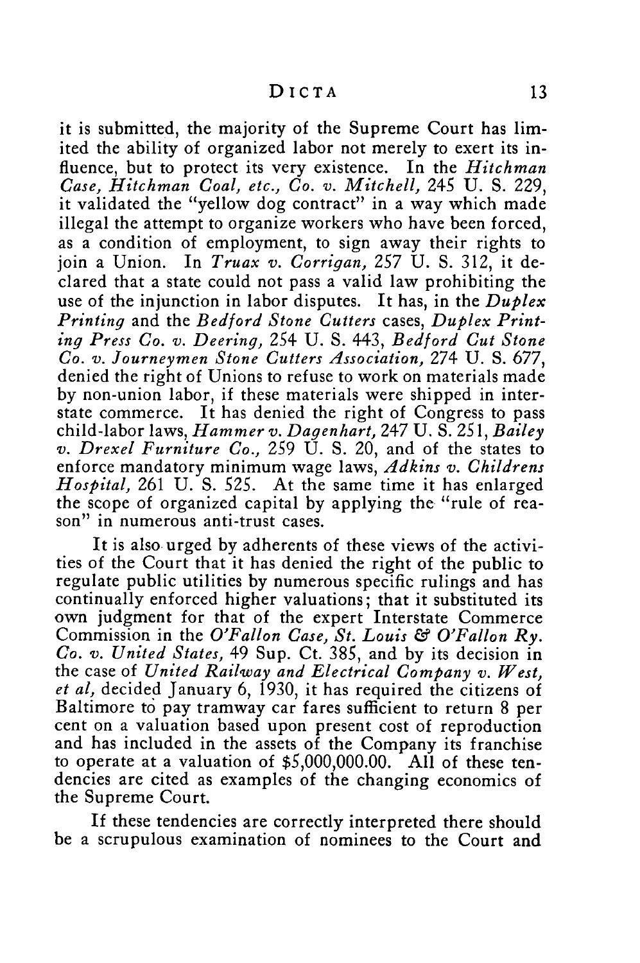it is submitted, the majority of the Supreme Court has limited the ability of organized labor not merely to exert its influence, but to protect its very existence. In the *Hitchman Case, Hitchman Coal, etc., Co. v. Mitchell, 245* U. S. 229, it validated the "yellow dog contract" in a way which made illegal the attempt to organize workers who have been forced, as a condition of employment, to sign away their rights to join a Union. In *Truax v. Corrigan, 257* U. S. 312, it declared that a state could not pass a valid law prohibiting the use of the injunction in labor disputes. It has, in the *Duplex Printing* and the *Bedford Stone Cutters* cases, *Duplex Printing Press Co. v. Deering, 254* U. **S.** 443, *Bedford Cut Stone Co. v. Journeymen Stone Cutters Association,* 274 U. S. 677, denied the right of Unions to refuse to work on materials made by non-union labor, if these materials were shipped in interstate commerce. It has denied the right of Congress to pass child-labor laws, *Hammer v. Dagenhart,* 247 U. **S.** 251, *Bailey v. Drexel Furniture Co., 259* U. **S.** 20, and of the states to enforce mandatory minimum wage laws, *Adkins v. Childrens Hospital,* 261 U. **S.** 525. At the same time it has enlarged the scope of organized capital by applying the "rule of reason" in numerous anti-trust cases.

It is also urged by adherents of these views of the activities of the Court that it has denied the right of the public to regulate public utilities by numerous specific rulings and has continually enforced higher valuations; that it substituted its own judgment for that of the expert Interstate Commerce Commission in the *O'Fallon Case, St. Louis & O'Fallon Ry. Co. v. United States,* 49 Sup. Ct. 385, and by its decision in the case of *United Railway and Electrical Company v. West, et al,* decided January 6, 1930, it has required the citizens of Baltimore to pay tramway car fares sufficient to return 8 per cent on a valuation based upon present cost of reproduction and has included in the assets of the Company its franchise to operate at a valuation of \$5,000,000.00. All of these tendencies are cited as examples of the changing economics of the Supreme Court.

If these tendencies are correctly interpreted there should be a scrupulous examination of nominees to the Court and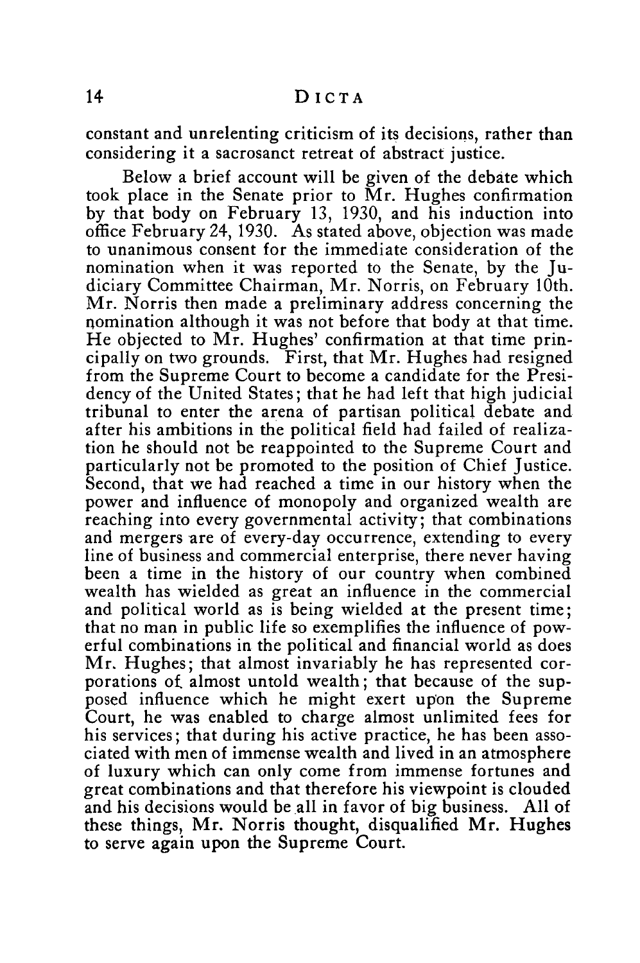#### DICTA

constant and unrelenting criticism of its decisions, rather than considering it a sacrosanct retreat of abstract justice.

Below a brief account will be given of the debate which took place in the Senate prior to Mr. Hughes confirmation **by** that body on February **13, 1930,** and his induction into office February 24, **1930.** As stated above, objection was made to unanimous consent for the immediate consideration of the nomination when it was reported to the Senate, **by** the Judiciary Committee Chairman, Mr. Norris, on February 10th. Mr. Norris then made a preliminary address concerning the nomination although it was not before that body at that time. He objected to Mr. Hughes' confirmation at that time principally on two grounds. First, that Mr. Hughes had resigned from the Supreme Court to become a candidate for the Presidency of the United States; that he had left that high judicial tribunal to enter the arena of partisan political debate and after his ambitions in the political field had failed of realization he should not be reappointed to the Supreme Court and particularly not be promoted to the position of Chief Justice. Second, that we had reached a time in our history when the power and influence of monopoly and organized wealth are reaching into every governmental activity; that combinations and mergers are of every-day occurrence, extending to every line of business and commercial enterprise, there never having been a time in the history of our country when combined wealth has wielded as great an influence in the commercial and political world as is being wielded at the present time; that no man in public life so exemplifies the influence of powerful combinations in the political and financial world as does Mr. Hughes; that almost invariably he has represented corporations of. almost untold wealth; that because of the supposed influence which he might exert upon the Supreme Court, he was enabled to charge almost unlimited fees for his services; that during his active practice, he has been associated with men of immense wealth and lived in an atmosphere of luxury which can only come from immense fortunes and great combinations and that therefore his viewpoint is clouded and his decisions would be all in favor of big business. **All** of these things, Mr. Norris thought, disqualified Mr. Hughes to serve again upon the Supreme Court.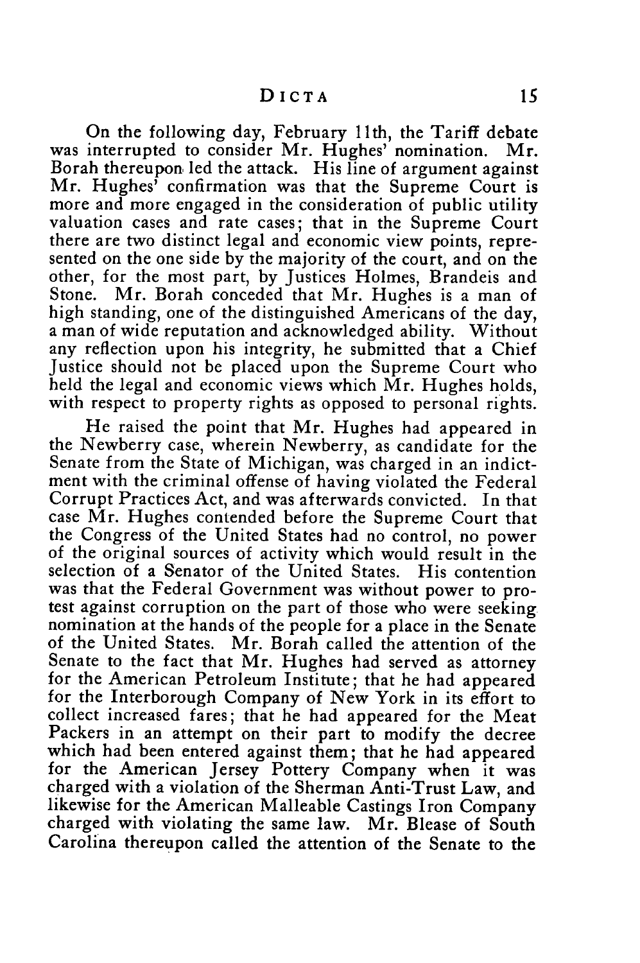On the following day, February 11th, the Tariff debate was interrupted to consider Mr. Hughes' nomination. Mr. Borah thereupon led the attack. His line of argument against Mr. Hughes' confirmation was that the Supreme Court is more and more engaged in the consideration of public utility valuation cases and rate cases; that in the Supreme Court there are two distinct legal and economic view points, represented on the one side **by** the majority of the court, and on the other, for the most part, **by** Justices Holmes, Brandeis and Stone. Mr. Borah conceded that Mr. Hughes is a man of high standing, one of the distinguished Americans of the day, a man of wide reputation and acknowledged ability. Without any reflection upon his integrity, he submitted that a Chief Justice should not be placed upon the Supreme Court who held the legal and economic views which Mr. Hughes holds, with respect to property rights as opposed to personal rights.

He raised the point that Mr. Hughes had appeared in the Newberry case, wherein Newberry, as candidate for the Senate from the State of Michigan, was charged in an indictment with the criminal offense of having violated the Federal Corrupt Practices Act, and was afterwards convicted. In that case Mr. Hughes contended before the Supreme Court that the Congress of the United States had no control, no power of the original sources of activity which would result in the selection of a Senator of the United States. His contention was that the Federal Government was without power to protest against corruption on the part of those who were seeking nomination at the hands of the people for a place in the Senate of the United States. Mr. Borah called the attention of the Senate to the fact that Mr. Hughes had served as attorney for the American Petroleum Institute; that he had appeared for the Interborough Company of New York in its effort to collect increased fares; that he had appeared for the Meat Packers in an attempt on their part to modify the decree which had been entered against them; that he had appeared for the American Jersey Pottery Company when it was charged with a violation of the Sherman Anti-Trust Law, and likewise for the American Malleable Castings Iron Company charged with violating the same law. Mr. Blease of South Carolina thereupon called the attention of the Senate to the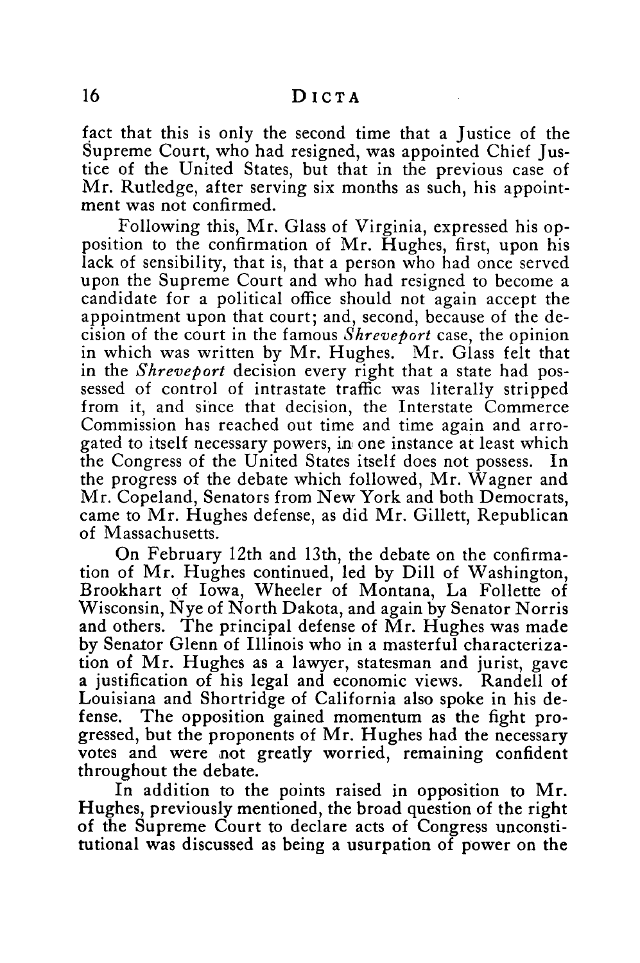fact that this is only the second time that a Justice of the Supreme Court, who had resigned, was appointed Chief Justice of the United States, but that in the previous case of Mr. Rutledge, after serving six months as such, his appointment was not confirmed.

Following this, Mr. Glass of Virginia, expressed his opposition to the confirmation of Mr. Hughes, first, upon his lack of sensibility, that is, that a person who had once served upon the Supreme Court and who had resigned to become a candidate for a political office should not again accept the appointment upon that court; and, second, because of the decision of the court in the famous *Shreveport* case, the opinion in which was written by Mr. Hughes. Mr. Glass felt that in the *Shreveport* decision every right that a state had possessed of control of intrastate traffic was literally stripped from it, and since that decision, the Interstate Commerce Commission has reached out time and time again and arrogated to itself necessary powers, in one instance at least which the Congress of the United States itself does not possess. In the progress of the debate which followed, Mr. Wagner and Mr. Copeland, Senators from New York and both Democrats, came to Mr. Hughes defense, as did Mr. Gillett, Republican of Massachusetts.

On February 12th and 13th, the debate on the confirmation of Mr. Hughes continued, led by Dill of Washington, Brookhart of Iowa, Wheeler of Montana, La Follette of Wisconsin, Nye of North Dakota, and again by Senator Norris and others. The principal defense of Mr. Hughes was made by Senator Glenn of Illinois who in a masterful characterization of Mr. Hughes as a lawyer, statesman and jurist, gave a justification of his legal and economic views. Randell of Louisiana and Shortridge of California also spoke in his defense. The opposition gained momentum as the fight progressed, but the proponents of Mr. Hughes had the necessary votes and were not greatly worried, remaining confident throughout the debate.

In addition to the points raised in opposition to Mr. Hughes, previously mentioned, the broad question of the right of the Supreme Court to declare acts of Congress unconstitutional was discussed as being a usurpation of power on the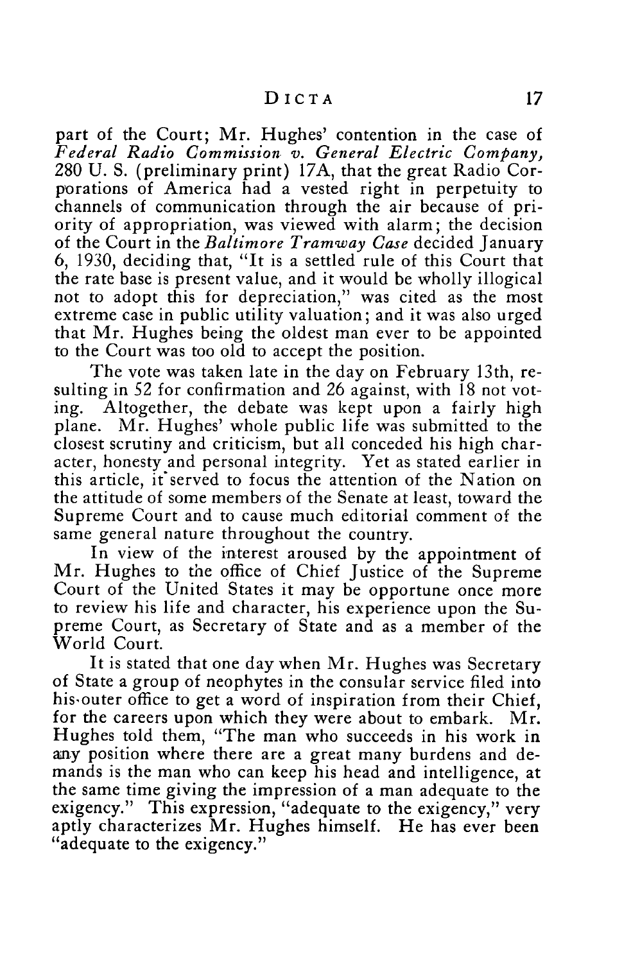part of the Court; Mr. Hughes' contention in the case of *Federal Radio Commission, v. General Electric Company,* 280 U. S. (preliminary print) 17A, that the great Radio Corporations of America had a vested right in perpetuity to channels of communication through the air because of priority of appropriation, was viewed with alarm; the decision of the Court in the *Baltimore Tramway Case* decided January *6,* 1930, deciding that, "It is a settled rule of this Court that the rate base is present value, and it would be wholly illogical not to adopt this for depreciation," was cited as the most extreme case in public utility valuation; and it was also urged that Mr. Hughes being the oldest man ever to be appointed to the Court was too old to accept the position.

The vote was taken late in the day on February 13th, resulting in 52 for confirmation and 26 against, with 18 not voting. Altogether, the debate was kept upon a fairly high plane. Mr. Hughes' whole public life was submitted to the closest scrutiny and criticism, but all conceded his high character, honesty and personal integrity. Yet as stated earlier in this article, it'served to focus the attention of the Nation on the attitude of some members of the Senate at least, toward the Supreme Court and to cause much editorial comment of the same general nature throughout the country.

In view of the interest aroused by the appointment of Mr. Hughes to the office of Chief Justice of the Supreme Court of the United States it may be opportune once more to review his life and character, his experience upon the Supreme Court, as Secretary of State and as a member of the World Court.

It is stated that one day when Mr. Hughes was Secretary of State a group of neophytes in the consular service filed into his-outer office to get a word of inspiration from their Chief, for the careers upon which they were about to embark. Mr. Hughes told them, "The man who succeeds in his work in any position where there are a great many burdens and demands is the man who can keep his head and intelligence, at the same time giving the impression of a man adequate to the exigency." This expression, "adequate to the exigency," very aptly characterizes Mr. Hughes himself. He has ever been "adequate to the exigency."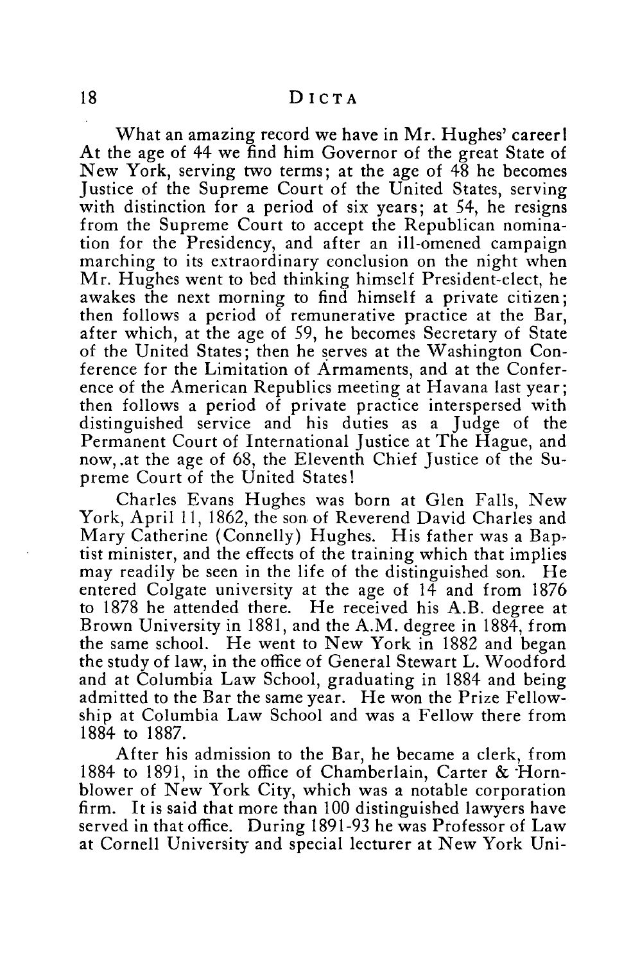What an amazing record we have in Mr. Hughes' career! At the age of 44 we find him Governor of the great State of New York, serving two terms; at the age of 48 he becomes Justice of the Supreme Court of the United States, serving with distinction for a period of six years; at *54,* he resigns from the Supreme Court to accept the Republican nomination for the Presidency, and after an ill-omened campaign marching to its extraordinary conclusion on the night when Mr. Hughes went to bed thinking himself President-elect, he awakes the next morning to find himself a private citizen; then follows a period of remunerative practice at the Bar, after which, at the age of *59,* he becomes Secretary of State of the United States; then he serves at the Washington Conference for the Limitation of Armaments, and at the Conference of the American Republics meeting at Havana last year; then follows a period of private practice interspersed with distinguished service and his duties as a Judge of the Permanent Court of International Justice at The Hague, and now, .at the age of 68, the Eleventh Chief Justice of the Supreme Court of the United States!

Charles Evans Hughes was born at Glen Falls, New York, April 11, 1862, the son of Reverend David Charles and Mary Catherine (Connelly) Hughes. His father was a Baptist minister, and the effects of the training which that implies may readily be seen in the life of the distinguished son. He entered Colgate university at the age of  $14$  and from 1876 to 1878 he attended there. He received his A.B. degree at Brown University in 1881, and the A.M. degree in 1884, from the same school. He went to New York in 1882 and began the study of law, in the office of General Stewart L. Woodford and at Columbia Law School, graduating in 1884 and being admitted to the Bar the same year. He won the Prize Fellowship at Columbia Law School and was a Fellow there from 1884 to 1887.

After his admission to the Bar, he became a clerk, from 1884 to 1891, in the office of Chamberlain, Carter & Hornblower of New York City, which was a notable corporation firm. It is said that more than 100 distinguished lawyers have served in that office. During 1891-93 he was Professor of Law at Cornell University and special lecturer at New York Uni-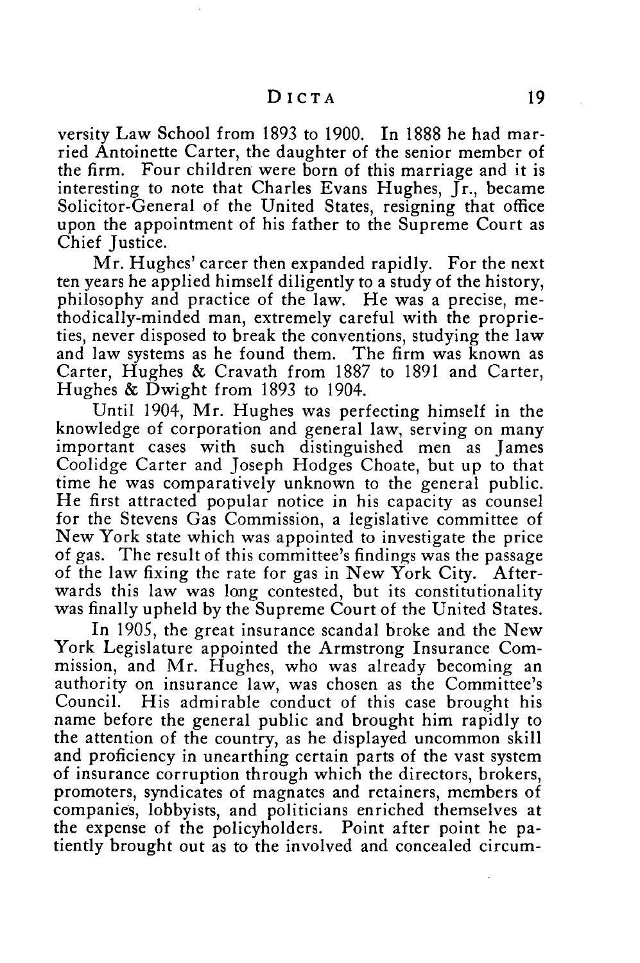versity Law School from 1893 to 1900. In 1888 he had married Antoinette Carter, the daughter of the senior member of the firm. Four children were born of this marriage and it is interesting to note that Charles Evans Hughes, Jr., became Solicitor-General of the United States, resigning that office upon the appointment of his father to the Supreme Court as Chief Justice.

Mr. Hughes' career then expanded rapidly. For the next ten years he applied himself diligently to a study of the history, philosophy and practice of the law. He was a precise, methodically-minded man, extremely careful with the proprieties, never disposed to break the conventions, studying the law and law systems as he found them. The firm was known as Carter, Hughes & Cravath from 1887 to 1891 and Carter, Hughes & Dwight from 1893 to 1904.

Until 1904, Mr. Hughes was perfecting himself in the knowledge of corporation and general law, serving on many important cases with such distinguished men as James Coolidge Carter and Joseph Hodges Choate, but up to that time he was comparatively unknown to the general public. He first attracted popular notice in his capacity as counsel for the Stevens Gas Commission, a legislative committee of New York state which was appointed to investigate the price of gas. The result of this committee's findings was the passage of the law fixing the rate for gas in New York City. Afterwards this law was long contested, but its constitutionality was finally upheld by the Supreme Court of the United States.

In 190S, the great insurance scandal broke and the New York Legislature appointed the Armstrong Insurance Commission, and Mr. Hughes, who was already becoming an authority on insurance law, was chosen as the Committee's Council. His admirable conduct of this case brought his name before the general public and brought him rapidly to the attention of the country, as he displayed uncommon skill and proficiency in unearthing certain parts of the vast system of insurance corruption through which the directors, brokers, promoters, syndicates of magnates and retainers, members of companies, lobbyists, and politicians enriched themselves at the expense of the policyholders. Point after point he patiently brought out as to the involved and concealed circum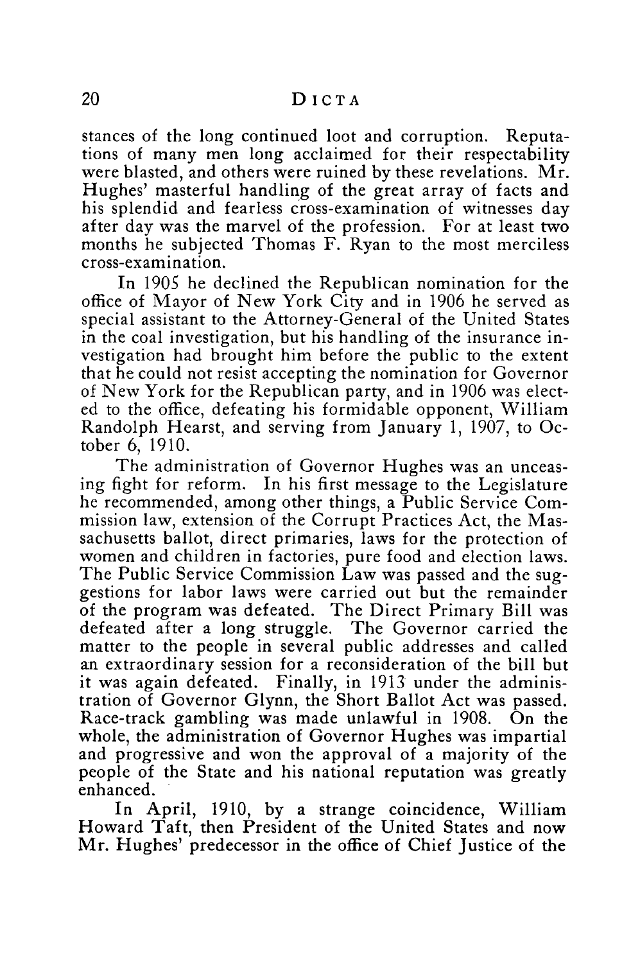stances of the long continued loot and corruption. Reputations of many men long acclaimed for their respectability were blasted, and others were ruined by these revelations. Mr. Hughes' masterful handling of the great array of facts and his splendid and fearless cross-examination of witnesses day after day was the marvel of the profession. For at least two months he subjected Thomas F. Ryan to the most merciless cross-examination.

In 1905 he declined the Republican nomination for the office of Mayor of New York City and in 1906 he served as special assistant to the Attorney-General of the United States in the coal investigation, but his handling of the insurance investigation had brought him before the public to the extent that he could not resist accepting the nomination for Governor of New York for the Republican party, and in 1906 was elected to the office, defeating his formidable opponent, William Randolph Hearst, and serving from January 1, 1907, to October 6, 1910.

The administration of Governor Hughes was an unceasing fight for reform. In his first message to the Legislature he recommended, among other things, a Public Service Commission law, extension of the Corrupt Practices Act, the Massachusetts ballot, direct primaries, laws for the protection of women and children in factories, pure food and election laws. The Public Service Commission Law was passed and the suggestions for labor laws were carried out but the remainder of the program was defeated. The Direct Primary Bill was defeated after a long struggle. The Governor carried the matter to the people in several public addresses and called an extraordinary session for a reconsideration of the bill but it was again defeated. Finally, in 1913 under the administration of Governor Glynn, the Short Ballot Act was passed. Race-track gambling was made unlawful in 1908. On the whole, the administration of Governor Hughes was impartial and progressive and won the approval of a majority of the people of the State and his national reputation was greatly enhanced.

In April, 1910, by a strange coincidence, William Howard Taft, then President of the United States and now Mr. Hughes' predecessor in the office of Chief Justice of the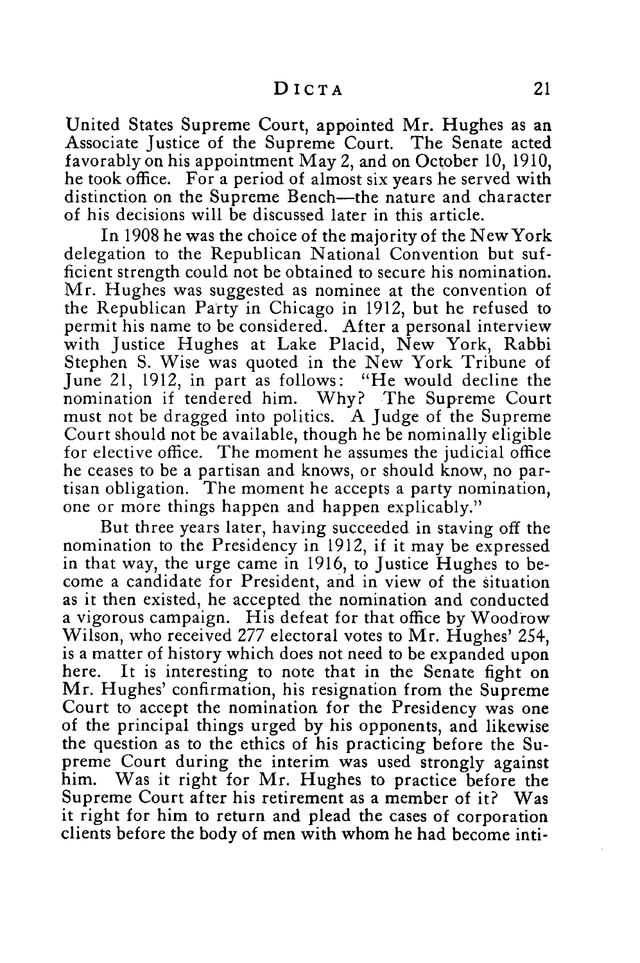United States Supreme Court, appointed Mr. Hughes as an Associate Justice of the Supreme Court. The Senate acted favorably on his appointment May 2, and on October 10, 1910, he took office. For a period of almost six years he served with distinction on the Supreme Bench—the nature and character of his decisions will be discussed later in this article.

In 1908 he was the choice of the majority of the NewYork delegation to the Republican National Convention but sufficient strength could not be obtained to secure his nomination. Mr. Hughes was suggested as nominee at the convention of the Republican Party in Chicago in 1912, but he refused to permit his name to be considered. After a personal interview with Justice Hughes at Lake Placid, New York, Rabbi Stephen S. Wise was quoted in the New York Tribune of June 21, 1912, in part as follows: "He would decline the nomination if tendered him. Why? The Supreme Court must not be dragged into politics. A Judge of the Supreme Court should not be available, though he be nominally eligible for elective office. The moment he assumes the judicial office he ceases to be a partisan and knows, or should know, no partisan obligation. The moment he accepts a party nomination, one or more things happen and happen explicably."

But three years later, having succeeded in staving off the nomination to the Presidency in 1912, if it may be expressed in that way, the urge came in 1916, to Justice Hughes to become a candidate for President, and in view of the situation as it then existed, he accepted the nomination and conducted a vigorous campaign. His defeat for that office by Woodrow Wilson, who received 277 electoral votes to Mr. Hughes' *254,* is a matter of history which does not need to be expanded upon here. It is interesting to note that in the Senate fight on Mr. Hughes' confirmation, his resignation from the Supreme Court to accept the nomination for the Presidency was one of the principal things urged by his opponents, and likewise the question as to the ethics of his practicing before the Supreme Court during the interim was used strongly against him. Was it right for Mr. Hughes to practice before the Supreme Court after his retirement as a member of it? Was it right for him to return and plead the cases of corporation clients before the body of men with whom he had become inti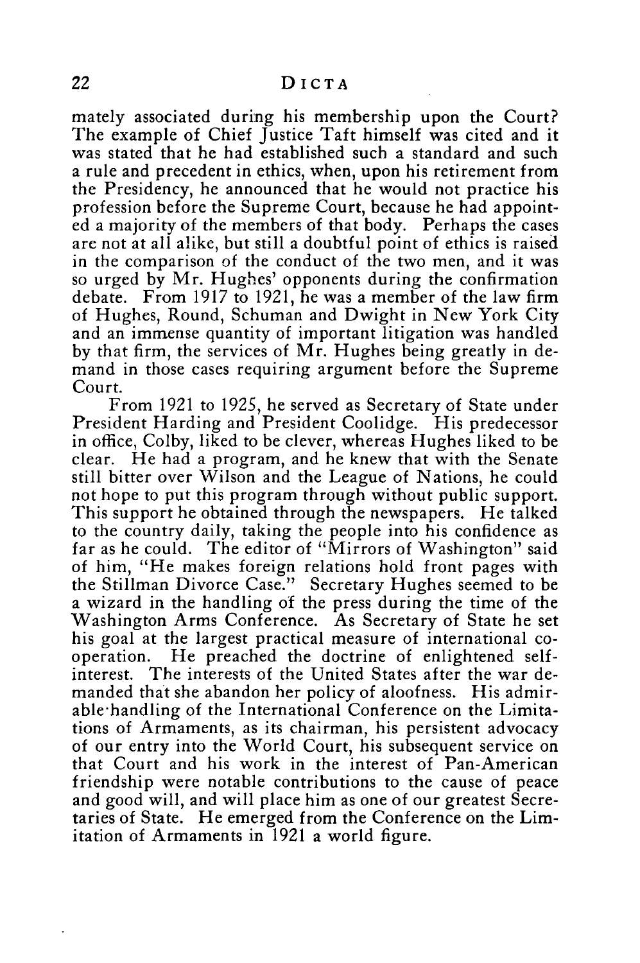mately associated during his membership upon the Court? The example of Chief Justice Taft himself was cited and it was stated that he had established such a standard and such a rule and precedent in ethics, when, upon his retirement from the Presidency, he announced that he would not practice his profession before the Supreme Court, because he had appointed a majority of the members of that body. Perhaps the cases are not at all alike, but still a doubtful point of ethics is raised in the comparison of the conduct of the two men, and it was so urged by Mr. Hughes' opponents during the confirmation debate. From 1917 to 1921, he was a member of the law firm of Hughes, Round, Schuman and Dwight in New York City and an immense quantity of important litigation was handled by that firm, the services of Mr. Hughes being greatly in demand in those cases requiring argument before the Supreme Court.

From 1921 to 1925, he served as Secretary of State under President Harding and President Coolidge. His predecessor in office, Colby, liked to be clever, whereas Hughes liked to be clear. He had a program, and he knew that with the Senate still bitter over Wilson and the League of Nations, he could not hope to put this program through without public support. This support he obtained through the newspapers. He talked to the country daily, taking the people into his confidence as far as he could. The editor of "Mirrors of Washington" said of him, "He makes foreign relations hold front pages with the Stillman Divorce Case." Secretary Hughes seemed to be a wizard in the handling of the press during the time of the Washington Arms Conference. As Secretary of State he set his goal at the largest practical measure of international cooperation. He preached the doctrine of enlightened selfinterest. The interests of the United States after the war demanded that she abandon her policy of aloofness. His admirable-handling of the International Conference on the Limitations of Armaments, as its chairman, his persistent advocacy of our entry into the World Court, his subsequent service on that Court and his work in the interest of Pan-American friendship were notable contributions to the cause of peace and good will, and will place him as one of our greatest Secretaries of State. He emerged from the Conference on the Limitation of Armaments in 1921 a world figure.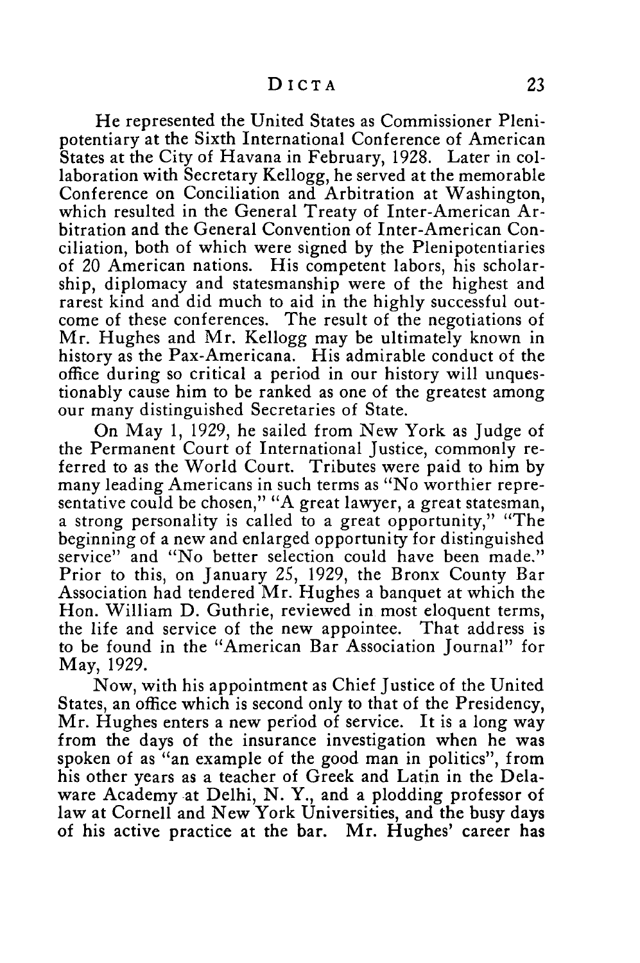He represented the United States as Commissioner Plenipotentiary at the Sixth International Conference of American States at the City of Havana in February, 1928. Later in collaboration with Secretary Kellogg, he served at the memorable Conference on Conciliation and Arbitration at Washington, which resulted in the General Treaty of Inter-American Arbitration and the General Convention of Inter-American Conciliation, both of which were signed by the Plenipotentiaries of 20 American nations. His competent labors, his scholarship, diplomacy and statesmanship were of the highest and rarest kind and did much to aid in the highly successful outcome of these conferences. The result of the negotiations of Mr. Hughes and Mr. Kellogg may be ultimately known in history as the Pax-Americana. His admirable conduct of the office during so critical a period in our history will unquestionably cause him to be ranked as one of the greatest among our many distinguished Secretaries of State.

On May 1, 1929, he sailed from New York as Judge of the Permanent Court of International Justice, commonly referred to as the World Court. Tributes were paid to him by many leading Americans in such terms as "No worthier representative could be chosen," "A great lawyer, a great statesman, a strong personality is called to a great opportunity," "The beginning of a new and enlarged opportunity for distinguished service" and "No better selection could have been made." Prior to this, on January 25, 1929, the Bronx County Bar Association had tendered Mr. Hughes a banquet at which the Hon. William D. Guthrie, reviewed in most eloquent terms, the life and service of the new appointee. That address is to be found in the "American Bar Association Journal" for May, 1929.

Now, with his appointment as Chief Justice of the United States, an office which is second only to that of the Presidency, Mr. Hughes enters a new period of service. It is a long way from the days of the insurance investigation when he was spoken of as "an example of the good man in politics", from his other years as a teacher of Greek and Latin in the Delaware Academy at Delhi, N. Y., and a plodding professor of law at Cornell and New York Universities, and the busy days of his active practice at the bar. Mr. Hughes' career has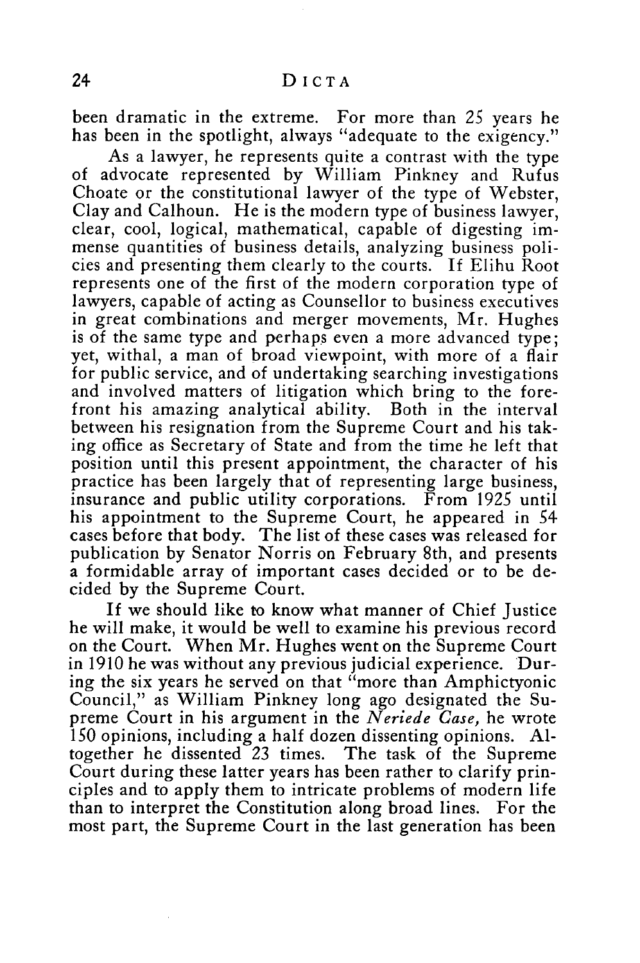been dramatic in the extreme. For more than *25* years he has been in the spotlight, always "adequate to the exigency."

As a lawyer, he represents quite a contrast with the type of advocate represented by William Pinkney and Rufus Choate or the constitutional lawyer of the type of Webster, Clay and Calhoun. He is the modern type of business lawyer, clear, cool, logical, mathematical, capable of digesting immense quantities of business details, analyzing business policies and presenting them clearly to the courts. If Elihu Root represents one of the first of the modern corporation type of lawyers, capable of acting as Counsellor to business executives in great combinations and merger movements, Mr. Hughes is of the same type and perhaps even a more advanced type; yet, withal, a man of broad viewpoint, with more of a flair for public service, and of undertaking searching investigations and involved matters of litigation which bring to the forefront his amazing analytical ability. Both in the interval between his resignation from the Supreme Court and his taking office as Secretary of State and from the time he left that position until this present appointment, the character of his practice has been largely that of representing large business, insurance and public utility corporations. From 1925 until his appointment to the Supreme Court, he appeared in *54* cases before that body. The list of these cases was released for publication by Senator Norris on February 8th, and presents a formidable array of important cases decided or to be decided by the Supreme Court.

If we should like to know what manner of Chief Justice he will make, it would be well to examine his previous record on the Court. When Mr. Hughes went on the Supreme Court in 1910 he was without any previous judicial experience. During the six years he served on that "more than Amphictyonic Council," as William Pinkney long ago designated the Supreme Court in his argument in the *Neriede Case,* he wrote 150 opinions, including a half dozen dissenting opinions. Altogether he dissented 23 times. The task of the Supreme Court during these latter years has been rather to clarify principles and to apply them to intricate problems of modern life than to interpret the Constitution along broad lines. For the most part, the Supreme Court in the last generation has been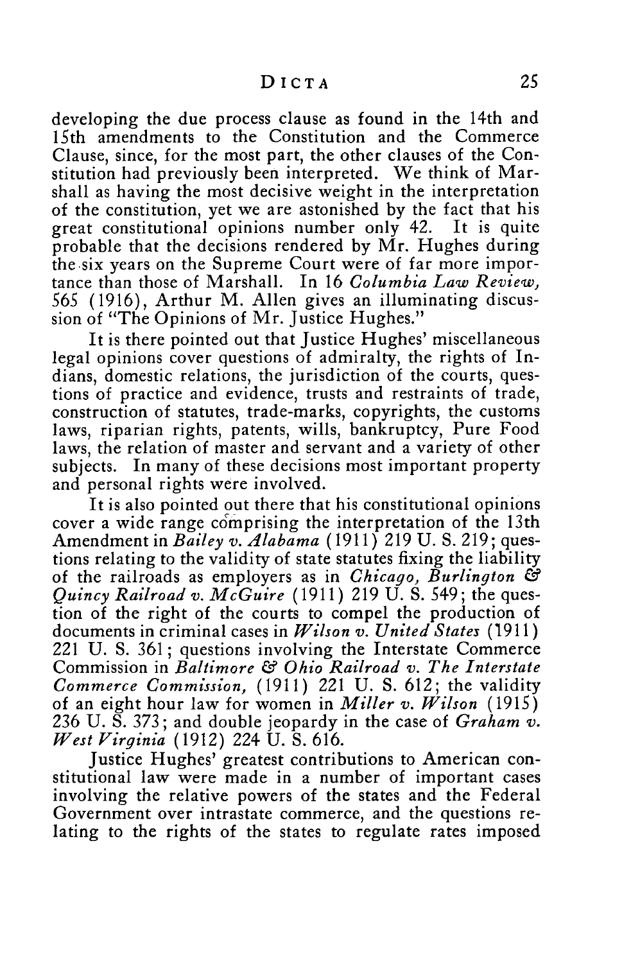developing the due process clause as found in the 14th and 15th amendments to the Constitution and the Commerce Clause, since, for the most part, the other clauses of the Constitution had previously been interpreted. We think of Marshall as having the most decisive weight in the interpretation of the constitution, yet we are astonished by the fact that his great constitutional opinions number only 42. It is quite probable that the decisions rendered by Mr. Hughes during the six years on the Supreme Court were of far more importance than those of Marshall. In 16 *Columbia Law Review,* 565 (1916), Arthur M. Allen gives an illuminating discussion of "The Opinions of Mr. Justice Hughes."

It is there pointed out that Justice Hughes' miscellaneous legal opinions cover questions of admiralty, the rights of Indians, domestic relations, the jurisdiction of the courts, questions of practice and evidence, trusts and restraints of trade, construction of statutes, trade-marks, copyrights, the customs laws, riparian rights, patents, wills, bankruptcy, Pure Food laws, the relation of master and servant and a variety of other subjects. In many of these decisions most important property and personal rights were involved.

It is also pointed out there that his constitutional opinions cover a wide range comprising the interpretation of the 13th Amendment in *Bailey v. Alabama* (1911) 219 U. S. 219; questions relating to the validity of state statutes fixing the liability of the railroads as employers as in *Chicago, Burlington & Quincy Railroad v. McGuire* (1911) 219 U. S. 549; the question of the right of the courts to compel the production of documents in criminal cases in *Wilson v. United States* ('1911) 221 U. S. 361; questions involving the Interstate Commerce Commission in *Baltimore & Ohio Railroad v. The Interstate Commerce Commission,* (1911) 221 U. S. 612; the validity of an eight hour law for women in *Miller v. Wilson (1915)* 236 U. S. 373; and double jeopardy in the case of *Graham v. West Virginia* (1912) 224 U. **S.** 616.

Justice Hughes' greatest contributions to American constitutional law were made in a number of important cases involving the relative powers of the states and the Federal Government over intrastate commerce, and the questions relating to the rights of the states to regulate rates imposed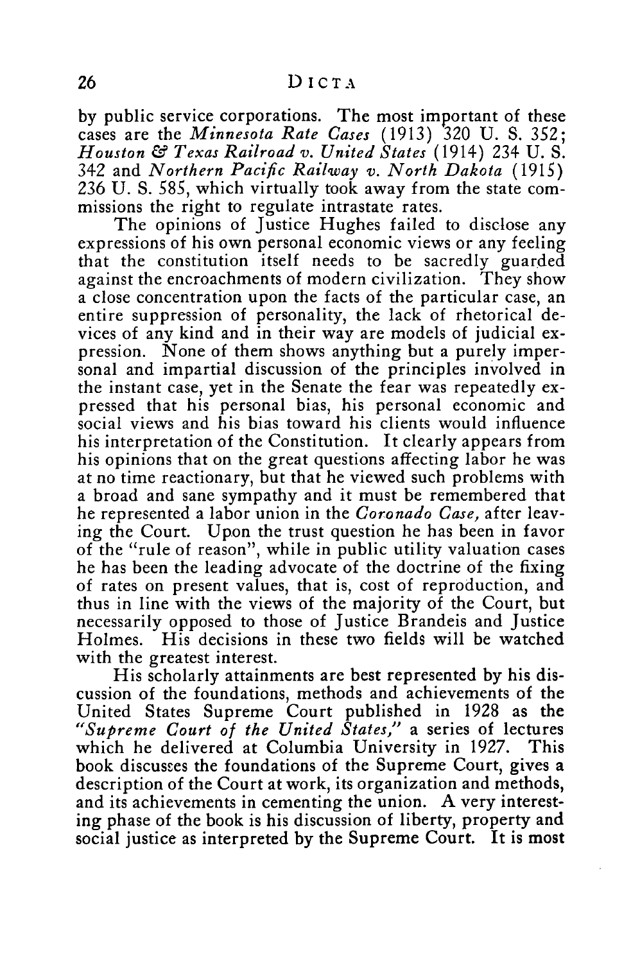by public service corporations. The most important of these cases are the *Minnesota Rate Cases* (1913) 320 U. S. 352; *Houston & Texas Railroad v. United States* (1914) 234 U. S. 342 and *Northern Pacific Railway v. North Dakota (1915)* 236 U. S. *585,* which virtually took away from the state commissions the right to regulate intrastate rates.

The opinions of Justice Hughes failed to disclose any expressions of his own personal economic views or any feeling that the constitution itself needs to be sacredly guarded against the encroachments of modern civilization. They show a close concentration upon the facts of the particular case, an entire suppression of personality, the lack of rhetorical devices of any kind and in their way are models of judicial expression. None of them shows anything but a purely impersonal and impartial discussion of the principles involved in the instant case, yet in the Senate the fear was repeatedly expressed that his personal bias, his personal economic and social views and his bias toward his clients would influence his interpretation of the Constitution. It clearly appears from his opinions that on the great questions affecting labor he was at no time reactionary, but that he viewed such problems with a broad and sane sympathy and it must be remembered that he represented a labor union in the *Coronado Case,* after leaving the Court. Upon the trust question he has been in favor of the "rule of reason", while in public utility valuation cases he has been the leading advocate of the doctrine of the fixing of rates on present values, that is, cost of reproduction, and thus in line with the views of the majority of the Court, but necessarily opposed to those of Justice Brandeis and Justice Holmes. His decisions in these two fields will be watched with the greatest interest.

His scholarly attainments are best represented by his discussion of the foundations, methods and achievements of the United States Supreme Court published in 1928 as the *"Supreme Court of the United States,"* a series of lectures which he delivered at Columbia University in 1927. This book discusses the foundations of the Supreme Court, gives a description of the Court at work, its organization and methods, and its achievements in cementing the union. A very interesting phase of the book is his discussion of liberty, property and social justice as interpreted by the Supreme Court. It is most